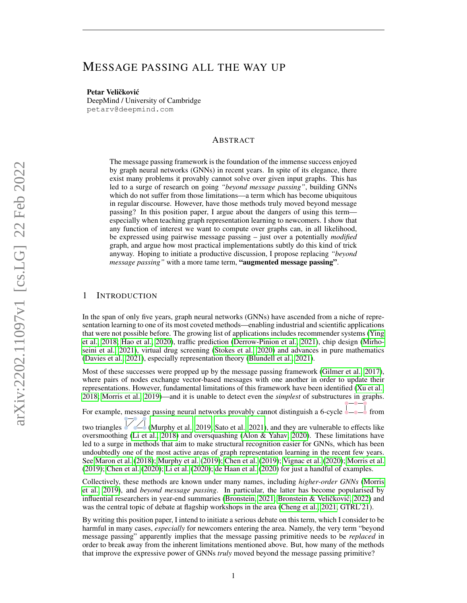# MESSAGE PASSING ALL THE WAY UP

Petar Veličković DeepMind / University of Cambridge petarv@deepmind.com

# ABSTRACT

The message passing framework is the foundation of the immense success enjoyed by graph neural networks (GNNs) in recent years. In spite of its elegance, there exist many problems it provably cannot solve over given input graphs. This has led to a surge of research on going *"beyond message passing"*, building GNNs which do not suffer from those limitations—a term which has become ubiquitous in regular discourse. However, have those methods truly moved beyond message passing? In this position paper, I argue about the dangers of using this term especially when teaching graph representation learning to newcomers. I show that any function of interest we want to compute over graphs can, in all likelihood, be expressed using pairwise message passing – just over a potentially *modified* graph, and argue how most practical implementations subtly do this kind of trick anyway. Hoping to initiate a productive discussion, I propose replacing *"beyond message passing"* with a more tame term, "augmented message passing".

# 1 INTRODUCTION

In the span of only five years, graph neural networks (GNNs) have ascended from a niche of representation learning to one of its most coveted methods—enabling industrial and scientific applications that were not possible before. The growing list of applications includes recommender systems [\(Ying](#page-8-0) [et al., 2018;](#page-8-0) [Hao et al., 2020\)](#page-6-0), traffic prediction [\(Derrow-Pinion et al., 2021\)](#page-5-0), chip design [\(Mirho](#page-6-1)[seini et al., 2021\)](#page-6-1), virtual drug screening [\(Stokes et al., 2020\)](#page-7-0) and advances in pure mathematics [\(Davies et al., 2021\)](#page-5-1), especially representation theory [\(Blundell et al., 2021\)](#page-4-0).

Most of these successes were propped up by the message passing framework [\(Gilmer et al., 2017\)](#page-6-2), where pairs of nodes exchange vector-based messages with one another in order to update their representations. However, fundamental limitations of this framework have been identified [\(Xu et al.,](#page-7-1) [2018;](#page-7-1) [Morris et al., 2019\)](#page-7-2)—and it is unable to detect even the *simplest* of substructures in graphs.

For example, message passing neural networks provably cannot distinguish a 6-cycle  $\rightarrow$  from

two triangles  $\Box$  [\(Murphy et al., 2019;](#page-7-3) [Sato et al., 2021\)](#page-7-4), and they are vulnerable to effects like oversmoothing [\(Li et al., 2018\)](#page-6-3) and oversquashing [\(Alon & Yahav, 2020\)](#page-4-1). These limitations have led to a surge in methods that aim to make structural recognition easier for GNNs, which has been undoubtedly one of the most active areas of graph representation learning in the recent few years. See [Maron et al.](#page-6-4) [\(2018\)](#page-6-4); [Murphy et al.](#page-7-3) [\(2019\)](#page-7-3); [Chen et al.](#page-5-2) [\(2019\)](#page-5-2); [Vignac et al.](#page-7-5) [\(2020\)](#page-7-5); [Morris et al.](#page-7-2) [\(2019\)](#page-7-2); [Chen et al.](#page-5-3) [\(2020\)](#page-5-3); [Li et al.](#page-6-5) [\(2020\)](#page-6-5); [de Haan et al.](#page-5-4) [\(2020\)](#page-5-4) for just a handful of examples.

Collectively, these methods are known under many names, including *higher-order GNNs* [\(Morris](#page-7-2) [et al., 2019\)](#page-7-2), and *beyond message passing*. In particular, the latter has become popularised by influential researchers in year-end summaries [\(Bronstein, 2021;](#page-4-2) Bronstein & Veličković, [2022\)](#page-5-5) and was the central topic of debate at flagship workshops in the area [\(Cheng et al., 2021,](#page-5-6) GTRL'21).

By writing this position paper, I intend to initiate a serious debate on this term, which I consider to be harmful in many cases, *especially* for newcomers entering the area. Namely, the very term "beyond message passing" apparently implies that the message passing primitive needs to be *replaced* in order to break away from the inherent limitations mentioned above. But, how many of the methods that improve the expressive power of GNNs *truly* moved beyond the message passing primitive?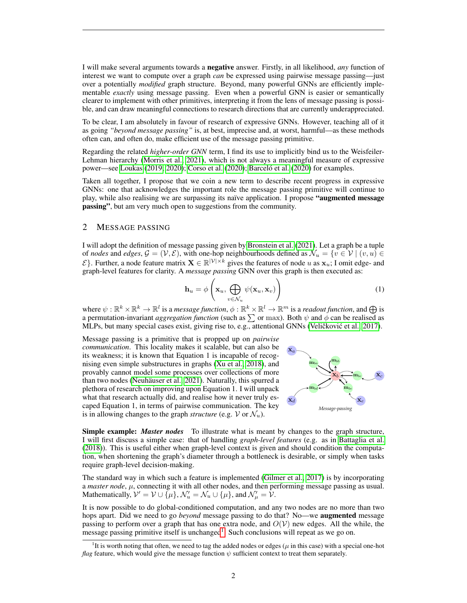I will make several arguments towards a negative answer. Firstly, in all likelihood, *any* function of interest we want to compute over a graph *can* be expressed using pairwise message passing—just over a potentially *modified* graph structure. Beyond, many powerful GNNs are efficiently implementable *exactly* using message passing. Even when a powerful GNN is easier or semantically clearer to implement with other primitives, interpreting it from the lens of message passing is possible, and can draw meaningful connections to research directions that are currently underappreciated.

To be clear, I am absolutely in favour of research of expressive GNNs. However, teaching all of it as going *"beyond message passing"* is, at best, imprecise and, at worst, harmful—as these methods often can, and often do, make efficient use of the message passing primitive.

Regarding the related *higher-order GNN* term, I find its use to implicitly bind us to the Weisfeiler-Lehman hierarchy [\(Morris et al., 2021\)](#page-7-6), which is not always a meaningful measure of expressive power—see [Loukas](#page-6-6) [\(2019;](#page-6-6) [2020\)](#page-6-7); [Corso et al.](#page-5-7) [\(2020\)](#page-4-3); Barceló et al. (2020) for examples.

Taken all together, I propose that we coin a new term to describe recent progress in expressive GNNs: one that acknowledges the important role the message passing primitive will continue to play, while also realising we are surpassing its naïve application. I propose "augmented message" passing", but am very much open to suggestions from the community.

# 2 MESSAGE PASSING

I will adopt the definition of message passing given by [Bronstein et al.](#page-5-8) [\(2021\)](#page-5-8). Let a graph be a tuple of *nodes* and *edges*,  $G = (V, E)$ , with one-hop neighbourhoods defined as  $\mathcal{N}_u = \{v \in V \mid (v, u) \in$  $\mathcal{E}$ . Further, a node feature matrix  $\mathbf{X} \in \mathbb{R}^{|\mathcal{V}|\times k}$  gives the features of node u as  $\mathbf{x}_u$ ; I omit edge- and graph-level features for clarity. A *message passing* GNN over this graph is then executed as:

$$
\mathbf{h}_u = \phi\left(\mathbf{x}_u, \bigoplus_{v \in \mathcal{N}_u} \psi(\mathbf{x}_u, \mathbf{x}_v)\right) \tag{1}
$$

where  $\psi: \mathbb{R}^k \times \mathbb{R}^k \to \mathbb{R}^l$  is a *message function*,  $\phi: \mathbb{R}^k \times \mathbb{R}^l \to \mathbb{R}^m$  is a *readout function*, and  $\bigoplus$  is a permutation-invariant *aggregation function* (such as  $\sum$  or max). Both  $\psi$  and  $\phi$  can be realised as MLPs, but many special cases exist, giving rise to, e.g., attentional GNNs (Veličković et al., [2017\)](#page-7-7).

Message passing is a primitive that is propped up on *pairwise communication*. This locality makes it scalable, but can also be its weakness; it is known that Equation 1 is incapable of recognising even simple substructures in graphs [\(Xu et al., 2018\)](#page-7-1), and provably cannot model some processes over collections of more than two nodes (Neuhäuser et al., 2021). Naturally, this spurred a plethora of research on improving upon Equation 1. I will unpack what that research actually did, and realise how it never truly escaped Equation 1, in terms of pairwise communication. The key is in allowing changes to the graph *structure* (e.g. V or  $\mathcal{N}_u$ ).



Simple example: *Master nodes* To illustrate what is meant by changes to the graph structure, I will first discuss a simple case: that of handling *graph-level features* (e.g. as in [Battaglia et al.](#page-4-4) [\(2018\)](#page-4-4)). This is useful either when graph-level context is given and should condition the computation, when shortening the graph's diameter through a bottleneck is desirable, or simply when tasks require graph-level decision-making.

The standard way in which such a feature is implemented [\(Gilmer et al., 2017\)](#page-6-2) is by incorporating a *master node*,  $\mu$ , connecting it with all other nodes, and then performing message passing as usual. Mathematically,  $\mathcal{V}' = \mathcal{V} \cup \overline{\{\mu\}}, \mathcal{N}'_u = \mathcal{N}_u \cup \{\mu\},$  and  $\mathcal{N}'_\mu = \mathcal{V}$ .

It is now possible to do global-conditioned computation, and any two nodes are no more than two hops apart. Did we need to go *beyond* message passing to do that? No—we augmented message passing to perform over a graph that has one extra node, and  $O(V)$  new edges. All the while, the message passing primitive itself is unchanged<sup>[1](#page-1-0)</sup>. Such conclusions will repeat as we go on.

<span id="page-1-0"></span><sup>&</sup>lt;sup>1</sup>It is worth noting that often, we need to tag the added nodes or edges ( $\mu$  in this case) with a special one-hot *flag* feature, which would give the message function  $\psi$  sufficient context to treat them separately.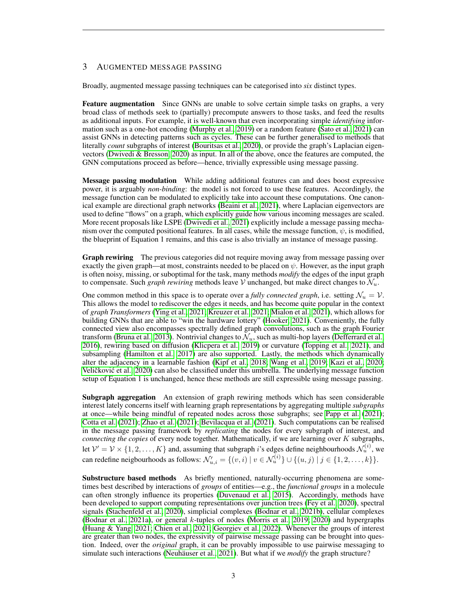# 3 AUGMENTED MESSAGE PASSING

Broadly, augmented message passing techniques can be categorised into *six* distinct types.

Feature augmentation Since GNNs are unable to solve certain simple tasks on graphs, a very broad class of methods seek to (partially) precompute answers to those tasks, and feed the results as additional inputs. For example, it is well-known that even incorporating simple *identifying* information such as a one-hot encoding [\(Murphy et al., 2019\)](#page-7-3) or a random feature [\(Sato et al., 2021\)](#page-7-4) can assist GNNs in detecting patterns such as cycles. These can be further generalised to methods that literally *count* subgraphs of interest [\(Bouritsas et al., 2020\)](#page-4-5), or provide the graph's Laplacian eigenvectors [\(Dwivedi & Bresson, 2020\)](#page-5-9) as input. In all of the above, once the features are computed, the GNN computations proceed as before—hence, trivially expressible using message passing.

Message passing modulation While adding additional features can and does boost expressive power, it is arguably *non-binding*: the model is not forced to use these features. Accordingly, the message function can be modulated to explicitly take into account these computations. One canonical example are directional graph networks [\(Beaini et al., 2021\)](#page-4-6), where Laplacian eigenvectors are used to define "flows" on a graph, which explicitly guide how various incoming messages are scaled. More recent proposals like LSPE [\(Dwivedi et al., 2021\)](#page-5-10) explicitly include a message passing mechanism over the computed positional features. In all cases, while the message function,  $\psi$ , is modified, the blueprint of Equation 1 remains, and this case is also trivially an instance of message passing.

**Graph rewiring** The previous categories did not require moving away from message passing over exactly the given graph—at most, constraints needed to be placed on  $\psi$ . However, as the input graph is often noisy, missing, or suboptimal for the task, many methods *modify* the edges of the input graph to compensate. Such *graph rewiring* methods leave V unchanged, but make direct changes to  $\mathcal{N}_u$ .

One common method in this space is to operate over a *fully connected graph*, i.e. setting  $\mathcal{N}_u = \mathcal{V}$ . This allows the model to rediscover the edges it needs, and has become quite popular in the context of *graph Transformers* [\(Ying et al., 2021;](#page-8-1) [Kreuzer et al., 2021;](#page-6-8) [Mialon et al., 2021\)](#page-6-9), which allows for building GNNs that are able to "win the hardware lottery" [\(Hooker, 2021\)](#page-6-10). Conveniently, the fully connected view also encompasses spectrally defined graph convolutions, such as the graph Fourier transform [\(Bruna et al., 2013\)](#page-5-11). Nontrivial changes to  $\mathcal{N}_u$ , such as multi-hop layers [\(Defferrard et al.,](#page-5-12) [2016\)](#page-5-12), rewiring based on diffusion [\(Klicpera et al., 2019\)](#page-6-11) or curvature [\(Topping et al., 2021\)](#page-7-9), and subsampling [\(Hamilton et al., 2017\)](#page-6-12) are also supported. Lastly, the methods which dynamically alter the adjacency in a learnable fashion [\(Kipf et al., 2018;](#page-6-13) [Wang et al., 2019;](#page-7-10) [Kazi et al., 2020;](#page-6-14) Veličković et al., [2020\)](#page-7-11) can also be classified under this umbrella. The underlying message function setup of Equation 1 is unchanged, hence these methods are still expressible using message passing.

Subgraph aggregation An extension of graph rewiring methods which has seen considerable interest lately concerns itself with learning graph representations by aggregating multiple *subgraphs* at once—while being mindful of repeated nodes across those subgraphs; see [Papp et al.](#page-7-12) [\(2021\)](#page-7-12); [Cotta et al.](#page-5-13) [\(2021\)](#page-5-13); [Zhao et al.](#page-8-2) [\(2021\)](#page-8-2); [Bevilacqua et al.](#page-4-7) [\(2021\)](#page-4-7). Such computations can be realised in the message passing framework by *replicating* the nodes for every subgraph of interest, and *connecting the copies* of every node together. Mathematically, if we are learning over K subgraphs, let  $\mathcal{V}' = \mathcal{V} \times \{1, 2, ..., K\}$  and, assuming that subgraph *i*'s edges define neighbourhoods  $\mathcal{N}_u^{(i)}$ , we can redefine neigbourhoods as follows:  $\mathcal{N}'_{u,i} = \{(v,i) \mid v \in \mathcal{N}_u^{(i)}\} \cup \{(u,j) \mid j \in \{1,2,\ldots,k\}\}.$ 

Substructure based methods As briefly mentioned, naturally-occurring phenomena are sometimes best described by interactions of *groups* of entities—e.g., the *functional groups* in a molecule can often strongly influence its properties [\(Duvenaud et al., 2015\)](#page-5-14). Accordingly, methods have been developed to support computing representations over junction trees [\(Fey et al., 2020\)](#page-5-15), spectral signals [\(Stachenfeld et al., 2020\)](#page-7-13), simplicial complexes [\(Bodnar et al., 2021b\)](#page-4-8), cellular complexes [\(Bodnar et al., 2021a\)](#page-4-9), or general  $k$ -tuples of nodes [\(Morris et al., 2019;](#page-7-2) [2020\)](#page-7-14) and hypergraphs [\(Huang & Yang, 2021;](#page-6-15) [Chien et al., 2021;](#page-5-16) [Georgiev et al., 2022\)](#page-6-16). Whenever the groups of interest are greater than two nodes, the expressivity of pairwise message passing can be brought into question. Indeed, over the *original* graph, it can be provably impossible to use pairwise messaging to simulate such interactions (Neuhäuser et al., 2021). But what if we *modify* the graph structure?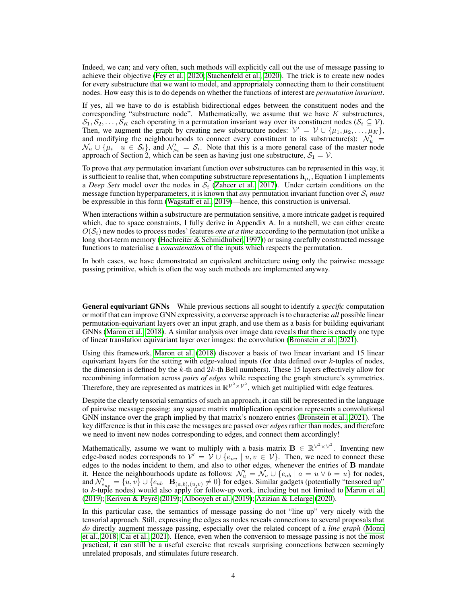Indeed, we can; and very often, such methods will explicitly call out the use of message passing to achieve their objective [\(Fey et al., 2020;](#page-5-15) [Stachenfeld et al., 2020\)](#page-7-13). The trick is to create new nodes for every substructure that we want to model, and appropriately connecting them to their constituent nodes. How easy this is to do depends on whether the functions of interest are *permutation invariant*.

If yes, all we have to do is establish bidirectional edges between the constituent nodes and the corresponding "substructure node". Mathematically, we assume that we have  $K$  substructures,  $S_1, S_2, \ldots, S_K$  each operating in a permutation invariant way over its constituent nodes  $(S_i \subseteq V)$ . Then, we augment the graph by creating new substructure nodes:  $\mathcal{V}' = \mathcal{V} \cup \{\mu_1, \mu_2, \dots, \mu_K\},\$ and modifying the neighbourhoods to connect every constituent to its substructure(s):  $\mathcal{N}'_u$  =  $\mathcal{N}_u \cup \{\mu_i \mid u \in \mathcal{S}_i\}$ , and  $\mathcal{N}'_{\mu_i} = \mathcal{S}_i$ . Note that this is a more general case of the master node approach of Section 2, which can be seen as having just one substructure,  $S_1 = V$ .

To prove that *any* permutation invariant function over substructures can be represented in this way, it is sufficient to realise that, when computing substructure representations  $\mathbf{h}_{\mu_i}$ , Equation 1 implements a *Deep Sets* model over the nodes in  $S_i$  [\(Zaheer et al., 2017\)](#page-8-3). Under certain conditions on the message function hyperparameters, it is known that *any* permutation invariant function over  $S_i$  *must* be expressible in this form [\(Wagstaff et al., 2019\)](#page-7-15)—hence, this construction is universal.

When interactions within a substructure are permutation sensitive, a more intricate gadget is required which, due to space constraints, I fully derive in Appendix A. In a nutshell, we can either create  $O(S<sub>i</sub>)$  new nodes to process nodes' features *one at a time* according to the permutation (not unlike a long short-term memory [\(Hochreiter & Schmidhuber, 1997\)](#page-6-17)) or using carefully constructed message functions to materialise a *concatenation* of the inputs which respects the permutation.

In both cases, we have demonstrated an equivalent architecture using only the pairwise message passing primitive, which is often the way such methods are implemented anyway.

General equivariant GNNs While previous sections all sought to identify a *specific* computation or motif that can improve GNN expressivity, a converse approach is to characterise *all* possible linear permutation-equivariant layers over an input graph, and use them as a basis for building equivariant GNNs [\(Maron et al., 2018\)](#page-6-4). A similar analysis over image data reveals that there is exactly one type of linear translation equivariant layer over images: the convolution [\(Bronstein et al., 2021\)](#page-5-8).

Using this framework, [Maron et al.](#page-6-4) [\(2018\)](#page-6-4) discover a basis of two linear invariant and 15 linear equivariant layers for the setting with edge-valued inputs (for data defined over  $k$ -tuples of nodes, the dimension is defined by the  $k$ -th and  $2k$ -th Bell numbers). These 15 layers effectively allow for recombining information across *pairs of edges* while respecting the graph structure's symmetries. Therefore, they are represented as matrices in  $\mathbb{R}^{\mathcal{V}^2 \times \mathcal{V}^2}$ , which get multiplied with edge features.

Despite the clearly tensorial semantics of such an approach, it can still be represented in the language of pairwise message passing: any square matrix multiplication operation represents a convolutional GNN instance over the graph implied by that matrix's nonzero entries [\(Bronstein et al., 2021\)](#page-5-8). The key difference is that in this case the messages are passed over *edges* rather than nodes, and therefore we need to invent new nodes corresponding to edges, and connect them accordingly!

Mathematically, assume we want to multiply with a basis matrix  $B \in \mathbb{R}^{\mathcal{V}^2 \times \mathcal{V}^2}$ . Inventing new edge-based nodes corresponds to  $\mathcal{V}' = \mathcal{V} \cup \{e_{uv} \mid u, v \in \mathcal{V}\}\$ . Then, we need to connect these edges to the nodes incident to them, and also to other edges, whenever the entries of B mandate it. Hence the neighbourhoods update as follows:  $\mathcal{N}'_u = \mathcal{N}_u \cup \{e_{ab} \mid a = u \vee b = u\}$  for nodes, and  $\mathcal{N}'_{e_{uv}} = \{u, v\} \cup \{e_{ab} \mid \mathbf{B}_{(a,b),(u,v)} \neq 0\}$  for edges. Similar gadgets (potentially "tensored up" to  $k$ -tuple nodes) would also apply for follow-up work, including but not limited to [Maron et al.](#page-6-18) [\(2019\)](#page-6-18); [Keriven & Peyre](#page-6-19) [\(2019\)](#page-6-19); [Albooyeh et al.](#page-4-10) [\(2019\)](#page-4-10); [Azizian & Lelarge](#page-4-11) [\(2020\)](#page-4-11). ´

In this particular case, the semantics of message passing do not "line up" very nicely with the tensorial approach. Still, expressing the edges as nodes reveals connections to several proposals that *do* directly augment message passing, especially over the related concept of a *line graph* [\(Monti](#page-7-16) [et al., 2018;](#page-7-16) [Cai et al., 2021\)](#page-5-17). Hence, even when the conversion to message passing is not the most practical, it can still be a useful exercise that reveals surprising connections between seemingly unrelated proposals, and stimulates future research.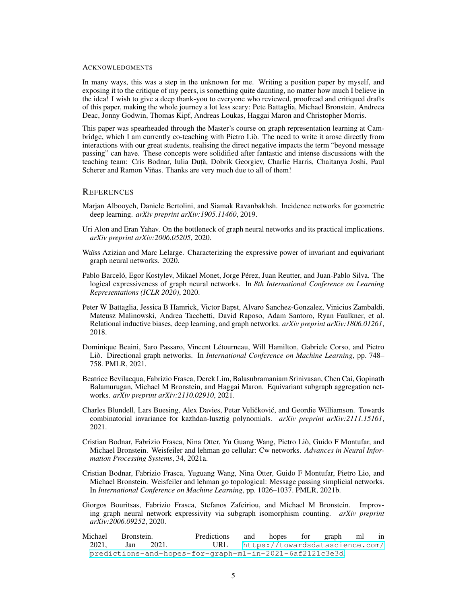#### ACKNOWLEDGMENTS

In many ways, this was a step in the unknown for me. Writing a position paper by myself, and exposing it to the critique of my peers, is something quite daunting, no matter how much I believe in the idea! I wish to give a deep thank-you to everyone who reviewed, proofread and critiqued drafts of this paper, making the whole journey a lot less scary: Pete Battaglia, Michael Bronstein, Andreea Deac, Jonny Godwin, Thomas Kipf, Andreas Loukas, Haggai Maron and Christopher Morris.

This paper was spearheaded through the Master's course on graph representation learning at Cambridge, which I am currently co-teaching with Pietro Lio. The need to write it arose directly from ` interactions with our great students, realising the direct negative impacts the term "beyond message passing" can have. These concepts were solidified after fantastic and intense discussions with the teaching team: Cris Bodnar, Iulia Duță, Dobrik Georgiev, Charlie Harris, Chaitanya Joshi, Paul Scherer and Ramon Viñas. Thanks are very much due to all of them!

### **REFERENCES**

- <span id="page-4-10"></span>Marjan Albooyeh, Daniele Bertolini, and Siamak Ravanbakhsh. Incidence networks for geometric deep learning. *arXiv preprint arXiv:1905.11460*, 2019.
- <span id="page-4-1"></span>Uri Alon and Eran Yahav. On the bottleneck of graph neural networks and its practical implications. *arXiv preprint arXiv:2006.05205*, 2020.
- <span id="page-4-11"></span>Waïss Azizian and Marc Lelarge. Characterizing the expressive power of invariant and equivariant graph neural networks. 2020.
- <span id="page-4-3"></span>Pablo Barceló, Egor Kostylev, Mikael Monet, Jorge Pérez, Juan Reutter, and Juan-Pablo Silva. The logical expressiveness of graph neural networks. In *8th International Conference on Learning Representations (ICLR 2020)*, 2020.
- <span id="page-4-4"></span>Peter W Battaglia, Jessica B Hamrick, Victor Bapst, Alvaro Sanchez-Gonzalez, Vinicius Zambaldi, Mateusz Malinowski, Andrea Tacchetti, David Raposo, Adam Santoro, Ryan Faulkner, et al. Relational inductive biases, deep learning, and graph networks. *arXiv preprint arXiv:1806.01261*, 2018.
- <span id="page-4-6"></span>Dominique Beaini, Saro Passaro, Vincent Létourneau, Will Hamilton, Gabriele Corso, and Pietro Liò. Directional graph networks. In *International Conference on Machine Learning*, pp. 748– 758. PMLR, 2021.
- <span id="page-4-7"></span>Beatrice Bevilacqua, Fabrizio Frasca, Derek Lim, Balasubramaniam Srinivasan, Chen Cai, Gopinath Balamurugan, Michael M Bronstein, and Haggai Maron. Equivariant subgraph aggregation networks. *arXiv preprint arXiv:2110.02910*, 2021.
- <span id="page-4-0"></span>Charles Blundell, Lars Buesing, Alex Davies, Petar Veličković, and Geordie Williamson. Towards combinatorial invariance for kazhdan-lusztig polynomials. *arXiv preprint arXiv:2111.15161*, 2021.
- <span id="page-4-9"></span>Cristian Bodnar, Fabrizio Frasca, Nina Otter, Yu Guang Wang, Pietro Lio, Guido F Montufar, and ` Michael Bronstein. Weisfeiler and lehman go cellular: Cw networks. *Advances in Neural Information Processing Systems*, 34, 2021a.
- <span id="page-4-8"></span>Cristian Bodnar, Fabrizio Frasca, Yuguang Wang, Nina Otter, Guido F Montufar, Pietro Lio, and Michael Bronstein. Weisfeiler and lehman go topological: Message passing simplicial networks. In *International Conference on Machine Learning*, pp. 1026–1037. PMLR, 2021b.
- <span id="page-4-5"></span>Giorgos Bouritsas, Fabrizio Frasca, Stefanos Zafeiriou, and Michael M Bronstein. Improving graph neural network expressivity via subgraph isomorphism counting. *arXiv preprint arXiv:2006.09252*, 2020.
- <span id="page-4-2"></span>Michael Bronstein. Predictions and hopes for graph ml in 2021, Jan 2021. URL [https://towardsdatascience.com/](https://towardsdatascience.com/predictions-and-hopes-for-graph-ml-in-2021-6af2121c3e3d) [predictions-and-hopes-for-graph-ml-in-2021-6af2121c3e3d](https://towardsdatascience.com/predictions-and-hopes-for-graph-ml-in-2021-6af2121c3e3d).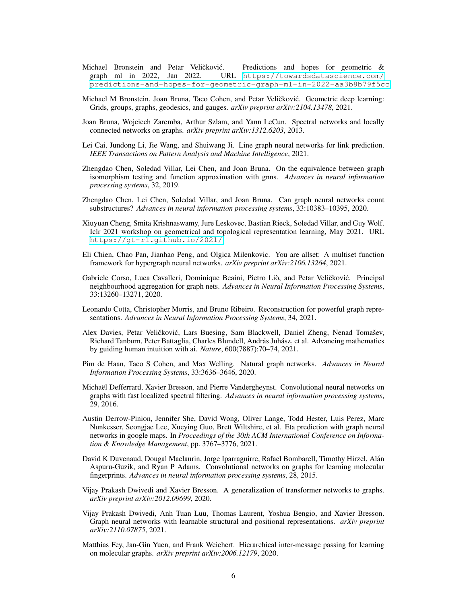- <span id="page-5-5"></span>Michael Bronstein and Petar Veličković. Predictions and hopes for geometric & graph ml in 2022, Jan 2022. URL https://towardsdatascience.com/ URL [https://towardsdatascience.com/](https://towardsdatascience.com/predictions-and-hopes-for-geometric-graph-ml-in-2022-aa3b8b79f5cc) [predictions-and-hopes-for-geometric-graph-ml-in-2022-aa3b8b79f5cc](https://towardsdatascience.com/predictions-and-hopes-for-geometric-graph-ml-in-2022-aa3b8b79f5cc).
- <span id="page-5-8"></span>Michael M Bronstein, Joan Bruna, Taco Cohen, and Petar Veličković. Geometric deep learning: Grids, groups, graphs, geodesics, and gauges. *arXiv preprint arXiv:2104.13478*, 2021.
- <span id="page-5-11"></span>Joan Bruna, Wojciech Zaremba, Arthur Szlam, and Yann LeCun. Spectral networks and locally connected networks on graphs. *arXiv preprint arXiv:1312.6203*, 2013.
- <span id="page-5-17"></span>Lei Cai, Jundong Li, Jie Wang, and Shuiwang Ji. Line graph neural networks for link prediction. *IEEE Transactions on Pattern Analysis and Machine Intelligence*, 2021.
- <span id="page-5-2"></span>Zhengdao Chen, Soledad Villar, Lei Chen, and Joan Bruna. On the equivalence between graph isomorphism testing and function approximation with gnns. *Advances in neural information processing systems*, 32, 2019.
- <span id="page-5-3"></span>Zhengdao Chen, Lei Chen, Soledad Villar, and Joan Bruna. Can graph neural networks count substructures? *Advances in neural information processing systems*, 33:10383–10395, 2020.
- <span id="page-5-6"></span>Xiuyuan Cheng, Smita Krishnaswamy, Jure Leskovec, Bastian Rieck, Soledad Villar, and Guy Wolf. Iclr 2021 workshop on geometrical and topological representation learning, May 2021. URL <https://gt-rl.github.io/2021/>.
- <span id="page-5-16"></span>Eli Chien, Chao Pan, Jianhao Peng, and Olgica Milenkovic. You are allset: A multiset function framework for hypergraph neural networks. *arXiv preprint arXiv:2106.13264*, 2021.
- <span id="page-5-7"></span>Gabriele Corso, Luca Cavalleri, Dominique Beaini, Pietro Liò, and Petar Veličković. Principal neighbourhood aggregation for graph nets. *Advances in Neural Information Processing Systems*, 33:13260–13271, 2020.
- <span id="page-5-13"></span>Leonardo Cotta, Christopher Morris, and Bruno Ribeiro. Reconstruction for powerful graph representations. *Advances in Neural Information Processing Systems*, 34, 2021.
- <span id="page-5-1"></span>Alex Davies, Petar Veličković, Lars Buesing, Sam Blackwell, Daniel Zheng, Nenad Tomašev, Richard Tanburn, Peter Battaglia, Charles Blundell, András Juhász, et al. Advancing mathematics by guiding human intuition with ai. *Nature*, 600(7887):70–74, 2021.
- <span id="page-5-4"></span>Pim de Haan, Taco S Cohen, and Max Welling. Natural graph networks. *Advances in Neural Information Processing Systems*, 33:3636–3646, 2020.
- <span id="page-5-12"></span>Michael Defferrard, Xavier Bresson, and Pierre Vandergheynst. Convolutional neural networks on ¨ graphs with fast localized spectral filtering. *Advances in neural information processing systems*, 29, 2016.
- <span id="page-5-0"></span>Austin Derrow-Pinion, Jennifer She, David Wong, Oliver Lange, Todd Hester, Luis Perez, Marc Nunkesser, Seongjae Lee, Xueying Guo, Brett Wiltshire, et al. Eta prediction with graph neural networks in google maps. In *Proceedings of the 30th ACM International Conference on Information & Knowledge Management*, pp. 3767–3776, 2021.
- <span id="page-5-14"></span>David K Duvenaud, Dougal Maclaurin, Jorge Iparraguirre, Rafael Bombarell, Timothy Hirzel, Alan´ Aspuru-Guzik, and Ryan P Adams. Convolutional networks on graphs for learning molecular fingerprints. *Advances in neural information processing systems*, 28, 2015.
- <span id="page-5-9"></span>Vijay Prakash Dwivedi and Xavier Bresson. A generalization of transformer networks to graphs. *arXiv preprint arXiv:2012.09699*, 2020.
- <span id="page-5-10"></span>Vijay Prakash Dwivedi, Anh Tuan Luu, Thomas Laurent, Yoshua Bengio, and Xavier Bresson. Graph neural networks with learnable structural and positional representations. *arXiv preprint arXiv:2110.07875*, 2021.
- <span id="page-5-15"></span>Matthias Fey, Jan-Gin Yuen, and Frank Weichert. Hierarchical inter-message passing for learning on molecular graphs. *arXiv preprint arXiv:2006.12179*, 2020.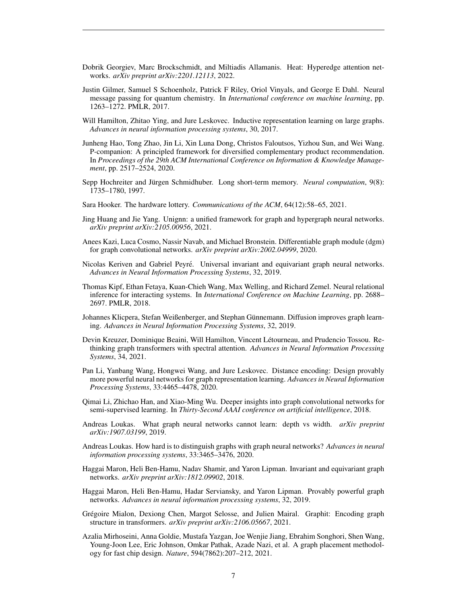- <span id="page-6-16"></span>Dobrik Georgiev, Marc Brockschmidt, and Miltiadis Allamanis. Heat: Hyperedge attention networks. *arXiv preprint arXiv:2201.12113*, 2022.
- <span id="page-6-2"></span>Justin Gilmer, Samuel S Schoenholz, Patrick F Riley, Oriol Vinyals, and George E Dahl. Neural message passing for quantum chemistry. In *International conference on machine learning*, pp. 1263–1272. PMLR, 2017.
- <span id="page-6-12"></span>Will Hamilton, Zhitao Ying, and Jure Leskovec. Inductive representation learning on large graphs. *Advances in neural information processing systems*, 30, 2017.
- <span id="page-6-0"></span>Junheng Hao, Tong Zhao, Jin Li, Xin Luna Dong, Christos Faloutsos, Yizhou Sun, and Wei Wang. P-companion: A principled framework for diversified complementary product recommendation. In *Proceedings of the 29th ACM International Conference on Information & Knowledge Management*, pp. 2517–2524, 2020.
- <span id="page-6-17"></span>Sepp Hochreiter and Jürgen Schmidhuber. Long short-term memory. *Neural computation*, 9(8): 1735–1780, 1997.
- <span id="page-6-10"></span>Sara Hooker. The hardware lottery. *Communications of the ACM*, 64(12):58–65, 2021.
- <span id="page-6-15"></span>Jing Huang and Jie Yang. Unignn: a unified framework for graph and hypergraph neural networks. *arXiv preprint arXiv:2105.00956*, 2021.
- <span id="page-6-14"></span>Anees Kazi, Luca Cosmo, Nassir Navab, and Michael Bronstein. Differentiable graph module (dgm) for graph convolutional networks. *arXiv preprint arXiv:2002.04999*, 2020.
- <span id="page-6-19"></span>Nicolas Keriven and Gabriel Peyre. Universal invariant and equivariant graph neural networks. ´ *Advances in Neural Information Processing Systems*, 32, 2019.
- <span id="page-6-13"></span>Thomas Kipf, Ethan Fetaya, Kuan-Chieh Wang, Max Welling, and Richard Zemel. Neural relational inference for interacting systems. In *International Conference on Machine Learning*, pp. 2688– 2697. PMLR, 2018.
- <span id="page-6-11"></span>Johannes Klicpera, Stefan Weißenberger, and Stephan Günnemann. Diffusion improves graph learning. *Advances in Neural Information Processing Systems*, 32, 2019.
- <span id="page-6-8"></span>Devin Kreuzer, Dominique Beaini, Will Hamilton, Vincent Létourneau, and Prudencio Tossou. Rethinking graph transformers with spectral attention. *Advances in Neural Information Processing Systems*, 34, 2021.
- <span id="page-6-5"></span>Pan Li, Yanbang Wang, Hongwei Wang, and Jure Leskovec. Distance encoding: Design provably more powerful neural networks for graph representation learning. *Advances in Neural Information Processing Systems*, 33:4465–4478, 2020.
- <span id="page-6-3"></span>Qimai Li, Zhichao Han, and Xiao-Ming Wu. Deeper insights into graph convolutional networks for semi-supervised learning. In *Thirty-Second AAAI conference on artificial intelligence*, 2018.
- <span id="page-6-6"></span>Andreas Loukas. What graph neural networks cannot learn: depth vs width. *arXiv preprint arXiv:1907.03199*, 2019.
- <span id="page-6-7"></span>Andreas Loukas. How hard is to distinguish graphs with graph neural networks? *Advances in neural information processing systems*, 33:3465–3476, 2020.
- <span id="page-6-4"></span>Haggai Maron, Heli Ben-Hamu, Nadav Shamir, and Yaron Lipman. Invariant and equivariant graph networks. *arXiv preprint arXiv:1812.09902*, 2018.
- <span id="page-6-18"></span>Haggai Maron, Heli Ben-Hamu, Hadar Serviansky, and Yaron Lipman. Provably powerful graph networks. *Advances in neural information processing systems*, 32, 2019.
- <span id="page-6-9"></span>Grégoire Mialon, Dexiong Chen, Margot Selosse, and Julien Mairal. Graphit: Encoding graph structure in transformers. *arXiv preprint arXiv:2106.05667*, 2021.
- <span id="page-6-1"></span>Azalia Mirhoseini, Anna Goldie, Mustafa Yazgan, Joe Wenjie Jiang, Ebrahim Songhori, Shen Wang, Young-Joon Lee, Eric Johnson, Omkar Pathak, Azade Nazi, et al. A graph placement methodology for fast chip design. *Nature*, 594(7862):207–212, 2021.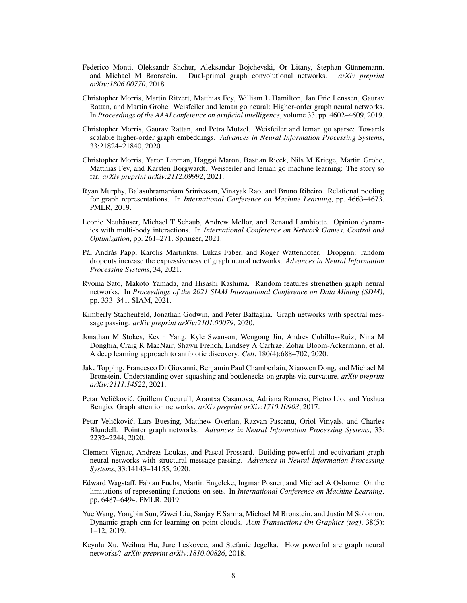- <span id="page-7-16"></span>Federico Monti, Oleksandr Shchur, Aleksandar Bojchevski, Or Litany, Stephan Günnemann, and Michael M Bronstein. Dual-primal graph convolutional networks. *arXiv preprint arXiv:1806.00770*, 2018.
- <span id="page-7-2"></span>Christopher Morris, Martin Ritzert, Matthias Fey, William L Hamilton, Jan Eric Lenssen, Gaurav Rattan, and Martin Grohe. Weisfeiler and leman go neural: Higher-order graph neural networks. In *Proceedings of the AAAI conference on artificial intelligence*, volume 33, pp. 4602–4609, 2019.
- <span id="page-7-14"></span>Christopher Morris, Gaurav Rattan, and Petra Mutzel. Weisfeiler and leman go sparse: Towards scalable higher-order graph embeddings. *Advances in Neural Information Processing Systems*, 33:21824–21840, 2020.
- <span id="page-7-6"></span>Christopher Morris, Yaron Lipman, Haggai Maron, Bastian Rieck, Nils M Kriege, Martin Grohe, Matthias Fey, and Karsten Borgwardt. Weisfeiler and leman go machine learning: The story so far. *arXiv preprint arXiv:2112.09992*, 2021.
- <span id="page-7-3"></span>Ryan Murphy, Balasubramaniam Srinivasan, Vinayak Rao, and Bruno Ribeiro. Relational pooling for graph representations. In *International Conference on Machine Learning*, pp. 4663–4673. PMLR, 2019.
- <span id="page-7-8"></span>Leonie Neuhäuser, Michael T Schaub, Andrew Mellor, and Renaud Lambiotte. Opinion dynamics with multi-body interactions. In *International Conference on Network Games, Control and Optimization*, pp. 261–271. Springer, 2021.
- <span id="page-7-12"></span>Pál András Papp, Karolis Martinkus, Lukas Faber, and Roger Wattenhofer. Dropgnn: random dropouts increase the expressiveness of graph neural networks. *Advances in Neural Information Processing Systems*, 34, 2021.
- <span id="page-7-4"></span>Ryoma Sato, Makoto Yamada, and Hisashi Kashima. Random features strengthen graph neural networks. In *Proceedings of the 2021 SIAM International Conference on Data Mining (SDM)*, pp. 333–341. SIAM, 2021.
- <span id="page-7-13"></span>Kimberly Stachenfeld, Jonathan Godwin, and Peter Battaglia. Graph networks with spectral message passing. *arXiv preprint arXiv:2101.00079*, 2020.
- <span id="page-7-0"></span>Jonathan M Stokes, Kevin Yang, Kyle Swanson, Wengong Jin, Andres Cubillos-Ruiz, Nina M Donghia, Craig R MacNair, Shawn French, Lindsey A Carfrae, Zohar Bloom-Ackermann, et al. A deep learning approach to antibiotic discovery. *Cell*, 180(4):688–702, 2020.
- <span id="page-7-9"></span>Jake Topping, Francesco Di Giovanni, Benjamin Paul Chamberlain, Xiaowen Dong, and Michael M Bronstein. Understanding over-squashing and bottlenecks on graphs via curvature. *arXiv preprint arXiv:2111.14522*, 2021.
- <span id="page-7-7"></span>Petar Veličković, Guillem Cucurull, Arantxa Casanova, Adriana Romero, Pietro Lio, and Yoshua Bengio. Graph attention networks. *arXiv preprint arXiv:1710.10903*, 2017.
- <span id="page-7-11"></span>Petar Veličković, Lars Buesing, Matthew Overlan, Razvan Pascanu, Oriol Vinyals, and Charles Blundell. Pointer graph networks. *Advances in Neural Information Processing Systems*, 33: 2232–2244, 2020.
- <span id="page-7-5"></span>Clement Vignac, Andreas Loukas, and Pascal Frossard. Building powerful and equivariant graph neural networks with structural message-passing. *Advances in Neural Information Processing Systems*, 33:14143–14155, 2020.
- <span id="page-7-15"></span>Edward Wagstaff, Fabian Fuchs, Martin Engelcke, Ingmar Posner, and Michael A Osborne. On the limitations of representing functions on sets. In *International Conference on Machine Learning*, pp. 6487–6494. PMLR, 2019.
- <span id="page-7-10"></span>Yue Wang, Yongbin Sun, Ziwei Liu, Sanjay E Sarma, Michael M Bronstein, and Justin M Solomon. Dynamic graph cnn for learning on point clouds. *Acm Transactions On Graphics (tog)*, 38(5): 1–12, 2019.
- <span id="page-7-1"></span>Keyulu Xu, Weihua Hu, Jure Leskovec, and Stefanie Jegelka. How powerful are graph neural networks? *arXiv preprint arXiv:1810.00826*, 2018.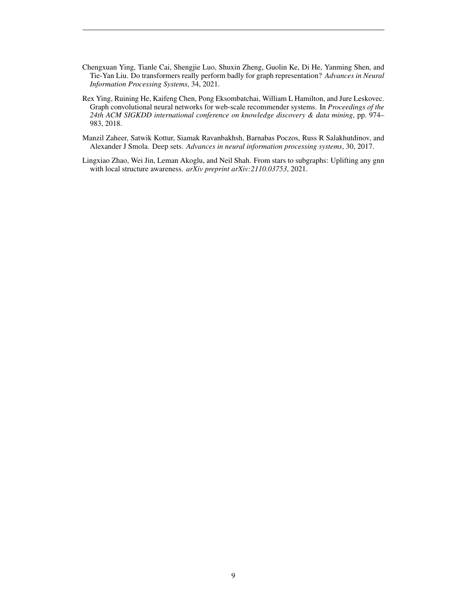- <span id="page-8-1"></span>Chengxuan Ying, Tianle Cai, Shengjie Luo, Shuxin Zheng, Guolin Ke, Di He, Yanming Shen, and Tie-Yan Liu. Do transformers really perform badly for graph representation? *Advances in Neural Information Processing Systems*, 34, 2021.
- <span id="page-8-0"></span>Rex Ying, Ruining He, Kaifeng Chen, Pong Eksombatchai, William L Hamilton, and Jure Leskovec. Graph convolutional neural networks for web-scale recommender systems. In *Proceedings of the 24th ACM SIGKDD international conference on knowledge discovery & data mining*, pp. 974– 983, 2018.
- <span id="page-8-3"></span>Manzil Zaheer, Satwik Kottur, Siamak Ravanbakhsh, Barnabas Poczos, Russ R Salakhutdinov, and Alexander J Smola. Deep sets. *Advances in neural information processing systems*, 30, 2017.
- <span id="page-8-2"></span>Lingxiao Zhao, Wei Jin, Leman Akoglu, and Neil Shah. From stars to subgraphs: Uplifting any gnn with local structure awareness. *arXiv preprint arXiv:2110.03753*, 2021.